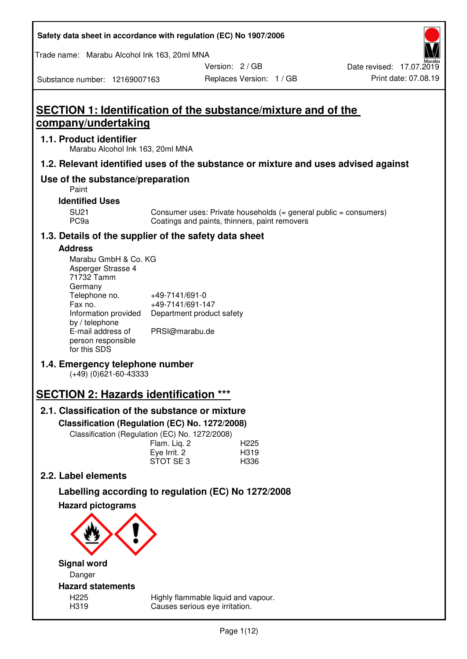| Safety data sheet in accordance with regulation (EC) No 1907/2006 |  |
|-------------------------------------------------------------------|--|
|-------------------------------------------------------------------|--|

Trade name: Marabu Alcohol Ink 163, 20ml MNA

Version: 2 / GB

Replaces Version: 1 / GB Print date: 07.08.19 Date revised: 17.07.2019

Substance number: 12169007163

# **SECTION 1: Identification of the substance/mixture and of the company/undertaking**

### **1.1. Product identifier**

Marabu Alcohol Ink 163, 20ml MNA

## **1.2. Relevant identified uses of the substance or mixture and uses advised against**

## **Use of the substance/preparation**

Paint

**Identified Uses** 

SU21 Consumer uses: Private households (= general public = consumers)<br>PC9a Coatings and paints, thinners, paint removers Coatings and paints, thinners, paint removers

## **1.3. Details of the supplier of the safety data sheet**

### **Address**

| Marabu GmbH & Co. KG |                           |
|----------------------|---------------------------|
| Asperger Strasse 4   |                           |
| 71732 Tamm           |                           |
| Germany              |                           |
| Telephone no.        | +49-7141/691-0            |
| Fax no.              | +49-7141/691-147          |
| Information provided | Department product safety |
| by / telephone       |                           |
| E-mail address of    | PRSI@marabu.de            |
| person responsible   |                           |
| for this SDS         |                           |

## **1.4. Emergency telephone number**

(+49) (0)621-60-43333

## **SECTION 2: Hazards identification \*\*\***

## **2.1. Classification of the substance or mixture**

**Classification (Regulation (EC) No. 1272/2008)** 

Classification (Regulation (EC) No. 1272/2008)

|              | . |                  |
|--------------|---|------------------|
| Flam. Liq. 2 |   | H <sub>225</sub> |
| Eye Irrit. 2 |   | H319             |
| STOT SE3     |   | H336             |
|              |   |                  |

## **2.2. Label elements**

# **Labelling according to regulation (EC) No 1272/2008**



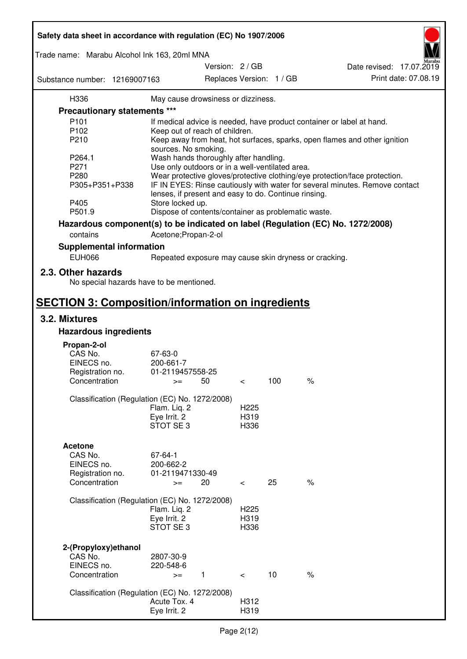| Safety data sheet in accordance with regulation (EC) No 1907/2006 |                                                      |                 |                  |                          |                                                                                 |  |
|-------------------------------------------------------------------|------------------------------------------------------|-----------------|------------------|--------------------------|---------------------------------------------------------------------------------|--|
| Trade name: Marabu Alcohol Ink 163, 20ml MNA                      |                                                      |                 |                  |                          |                                                                                 |  |
| Substance number: 12169007163                                     |                                                      | Version: 2 / GB |                  | Replaces Version: 1 / GB | Date revised: 17.07.2019<br>Print date: 07.08.19                                |  |
| H336                                                              | May cause drowsiness or dizziness.                   |                 |                  |                          |                                                                                 |  |
| <b>Precautionary statements ***</b>                               |                                                      |                 |                  |                          |                                                                                 |  |
| P <sub>101</sub>                                                  |                                                      |                 |                  |                          | If medical advice is needed, have product container or label at hand.           |  |
| P102                                                              | Keep out of reach of children.                       |                 |                  |                          |                                                                                 |  |
| P210                                                              |                                                      |                 |                  |                          | Keep away from heat, hot surfaces, sparks, open flames and other ignition       |  |
|                                                                   | sources. No smoking.                                 |                 |                  |                          |                                                                                 |  |
| P264.1                                                            | Wash hands thoroughly after handling.                |                 |                  |                          |                                                                                 |  |
| P271                                                              | Use only outdoors or in a well-ventilated area.      |                 |                  |                          |                                                                                 |  |
| P280                                                              |                                                      |                 |                  |                          | Wear protective gloves/protective clothing/eye protection/face protection.      |  |
| P305+P351+P338                                                    |                                                      |                 |                  |                          | IF IN EYES: Rinse cautiously with water for several minutes. Remove contact     |  |
|                                                                   | lenses, if present and easy to do. Continue rinsing. |                 |                  |                          |                                                                                 |  |
| P405                                                              | Store locked up.                                     |                 |                  |                          |                                                                                 |  |
| P501.9                                                            | Dispose of contents/container as problematic waste.  |                 |                  |                          |                                                                                 |  |
|                                                                   |                                                      |                 |                  |                          |                                                                                 |  |
|                                                                   |                                                      |                 |                  |                          | Hazardous component(s) to be indicated on label (Regulation (EC) No. 1272/2008) |  |
| contains                                                          | Acetone; Propan-2-ol                                 |                 |                  |                          |                                                                                 |  |
| <b>Supplemental information</b>                                   |                                                      |                 |                  |                          |                                                                                 |  |
| <b>EUH066</b>                                                     |                                                      |                 |                  |                          | Repeated exposure may cause skin dryness or cracking.                           |  |
| 2.3. Other hazards                                                |                                                      |                 |                  |                          |                                                                                 |  |
| No special hazards have to be mentioned.                          |                                                      |                 |                  |                          |                                                                                 |  |
| <b>SECTION 3: Composition/information on ingredients</b>          |                                                      |                 |                  |                          |                                                                                 |  |
| 3.2. Mixtures                                                     |                                                      |                 |                  |                          |                                                                                 |  |
| <b>Hazardous ingredients</b>                                      |                                                      |                 |                  |                          |                                                                                 |  |
|                                                                   |                                                      |                 |                  |                          |                                                                                 |  |
| Propan-2-ol                                                       |                                                      |                 |                  |                          |                                                                                 |  |
| CAS No.                                                           | 67-63-0                                              |                 |                  |                          |                                                                                 |  |
| EINECS no.                                                        | 200-661-7                                            |                 |                  |                          |                                                                                 |  |
| Registration no.                                                  | 01-2119457558-25                                     |                 |                  | 100                      | $\%$                                                                            |  |
| Concentration                                                     | $>=$                                                 | 50              | $\,<\,$          |                          |                                                                                 |  |
| Classification (Regulation (EC) No. 1272/2008)                    |                                                      |                 |                  |                          |                                                                                 |  |
|                                                                   | Flam. Liq. 2                                         |                 | H <sub>225</sub> |                          |                                                                                 |  |
|                                                                   | Eye Irrit. 2                                         |                 | H319             |                          |                                                                                 |  |
|                                                                   | STOT SE3                                             |                 | H336             |                          |                                                                                 |  |
|                                                                   |                                                      |                 |                  |                          |                                                                                 |  |
| <b>Acetone</b>                                                    |                                                      |                 |                  |                          |                                                                                 |  |
| CAS No.                                                           | 67-64-1                                              |                 |                  |                          |                                                                                 |  |
| EINECS no.                                                        | 200-662-2                                            |                 |                  |                          |                                                                                 |  |
| Registration no.                                                  | 01-2119471330-49                                     |                 |                  |                          |                                                                                 |  |
| Concentration                                                     | $>=$                                                 | 20              | $\,<\,$          | 25                       | $\frac{1}{6}$                                                                   |  |
|                                                                   |                                                      |                 |                  |                          |                                                                                 |  |
| Classification (Regulation (EC) No. 1272/2008)                    |                                                      |                 |                  |                          |                                                                                 |  |
|                                                                   | Flam. Liq. 2                                         |                 | H <sub>225</sub> |                          |                                                                                 |  |
|                                                                   | Eye Irrit. 2                                         |                 | H319             |                          |                                                                                 |  |
|                                                                   | STOT SE <sub>3</sub>                                 |                 | H336             |                          |                                                                                 |  |
|                                                                   |                                                      |                 |                  |                          |                                                                                 |  |
| 2-(Propyloxy) ethanol                                             |                                                      |                 |                  |                          |                                                                                 |  |
| CAS No.<br>EINECS no.                                             | 2807-30-9                                            |                 |                  |                          |                                                                                 |  |
| Concentration                                                     | 220-548-6                                            |                 |                  | 10                       | $\%$                                                                            |  |
|                                                                   | $>=$                                                 | $\mathbf{1}$    | $\lt$            |                          |                                                                                 |  |
| Classification (Regulation (EC) No. 1272/2008)                    |                                                      |                 |                  |                          |                                                                                 |  |
|                                                                   | Acute Tox. 4                                         |                 | H312             |                          |                                                                                 |  |
|                                                                   | Eye Irrit. 2                                         |                 | H319             |                          |                                                                                 |  |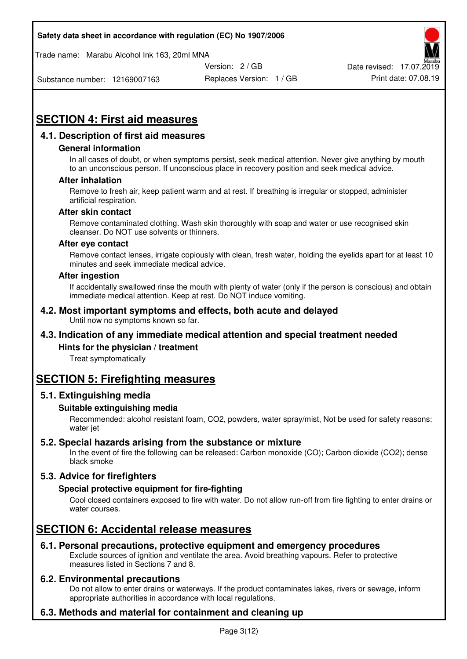Trade name: Marabu Alcohol Ink 163, 20ml MNA



Substance number: 12169007163

Replaces Version: 1 / GB Print date: 07.08.19

# **SECTION 4: First aid measures**

## **4.1. Description of first aid measures**

#### **General information**

In all cases of doubt, or when symptoms persist, seek medical attention. Never give anything by mouth to an unconscious person. If unconscious place in recovery position and seek medical advice.

#### **After inhalation**

Remove to fresh air, keep patient warm and at rest. If breathing is irregular or stopped, administer artificial respiration.

#### **After skin contact**

Remove contaminated clothing. Wash skin thoroughly with soap and water or use recognised skin cleanser. Do NOT use solvents or thinners.

#### **After eye contact**

Remove contact lenses, irrigate copiously with clean, fresh water, holding the eyelids apart for at least 10 minutes and seek immediate medical advice.

#### **After ingestion**

If accidentally swallowed rinse the mouth with plenty of water (only if the person is conscious) and obtain immediate medical attention. Keep at rest. Do NOT induce vomiting.

#### **4.2. Most important symptoms and effects, both acute and delayed**  Until now no symptoms known so far.

## **4.3. Indication of any immediate medical attention and special treatment needed**

#### **Hints for the physician / treatment**

Treat symptomatically

## **SECTION 5: Firefighting measures**

#### **5.1. Extinguishing media**

#### **Suitable extinguishing media**

Recommended: alcohol resistant foam, CO2, powders, water spray/mist, Not be used for safety reasons: water jet

#### **5.2. Special hazards arising from the substance or mixture**

In the event of fire the following can be released: Carbon monoxide (CO); Carbon dioxide (CO2); dense black smoke

## **5.3. Advice for firefighters**

#### **Special protective equipment for fire-fighting**

Cool closed containers exposed to fire with water. Do not allow run-off from fire fighting to enter drains or water courses.

## **SECTION 6: Accidental release measures**

#### **6.1. Personal precautions, protective equipment and emergency procedures**

Exclude sources of ignition and ventilate the area. Avoid breathing vapours. Refer to protective measures listed in Sections 7 and 8.

#### **6.2. Environmental precautions**

Do not allow to enter drains or waterways. If the product contaminates lakes, rivers or sewage, inform appropriate authorities in accordance with local regulations.

## **6.3. Methods and material for containment and cleaning up**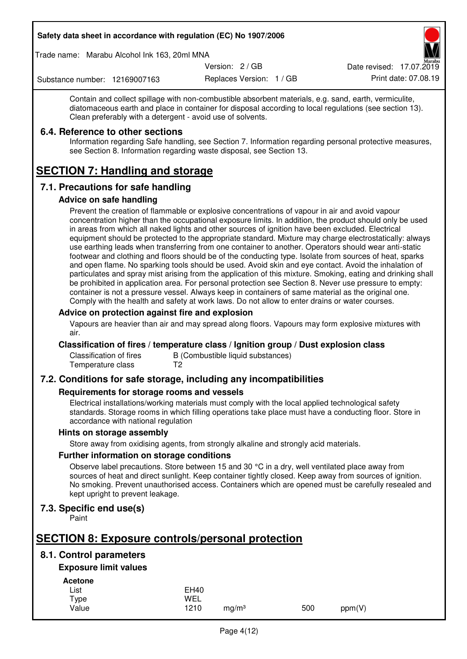Trade name: Marabu Alcohol Ink 163, 20ml MNA

Version: 2 / GB

Replaces Version: 1 / GB Print date: 07.08.19 Date revised: 17.07.2019

Substance number: 12169007163

Contain and collect spillage with non-combustible absorbent materials, e.g. sand, earth, vermiculite, diatomaceous earth and place in container for disposal according to local regulations (see section 13). Clean preferably with a detergent - avoid use of solvents.

### **6.4. Reference to other sections**

Information regarding Safe handling, see Section 7. Information regarding personal protective measures, see Section 8. Information regarding waste disposal, see Section 13.

# **SECTION 7: Handling and storage**

## **7.1. Precautions for safe handling**

#### **Advice on safe handling**

Prevent the creation of flammable or explosive concentrations of vapour in air and avoid vapour concentration higher than the occupational exposure limits. In addition, the product should only be used in areas from which all naked lights and other sources of ignition have been excluded. Electrical equipment should be protected to the appropriate standard. Mixture may charge electrostatically: always use earthing leads when transferring from one container to another. Operators should wear anti-static footwear and clothing and floors should be of the conducting type. Isolate from sources of heat, sparks and open flame. No sparking tools should be used. Avoid skin and eye contact. Avoid the inhalation of particulates and spray mist arising from the application of this mixture. Smoking, eating and drinking shall be prohibited in application area. For personal protection see Section 8. Never use pressure to empty: container is not a pressure vessel. Always keep in containers of same material as the original one. Comply with the health and safety at work laws. Do not allow to enter drains or water courses.

#### **Advice on protection against fire and explosion**

Vapours are heavier than air and may spread along floors. Vapours may form explosive mixtures with air.

#### **Classification of fires / temperature class / Ignition group / Dust explosion class**

Classification of fires B (Combustible liquid substances)<br>Temperature class T2 Temperature class

## **7.2. Conditions for safe storage, including any incompatibilities**

#### **Requirements for storage rooms and vessels**

Electrical installations/working materials must comply with the local applied technological safety standards. Storage rooms in which filling operations take place must have a conducting floor. Store in accordance with national regulation

#### **Hints on storage assembly**

Store away from oxidising agents, from strongly alkaline and strongly acid materials.

#### **Further information on storage conditions**

Observe label precautions. Store between 15 and 30 °C in a dry, well ventilated place away from sources of heat and direct sunlight. Keep container tightly closed. Keep away from sources of ignition. No smoking. Prevent unauthorised access. Containers which are opened must be carefully resealed and kept upright to prevent leakage.

## **7.3. Specific end use(s)**

Paint

## **SECTION 8: Exposure controls/personal protection**

## **8.1. Control parameters**

## **Exposure limit values**

**Acetone** 

| -------- |             |                   |     |        |
|----------|-------------|-------------------|-----|--------|
| List     | <b>EH40</b> |                   |     |        |
| Type     | WEL         |                   |     |        |
| Value    | 1210        | ma/m <sup>3</sup> | 500 | ppm(V) |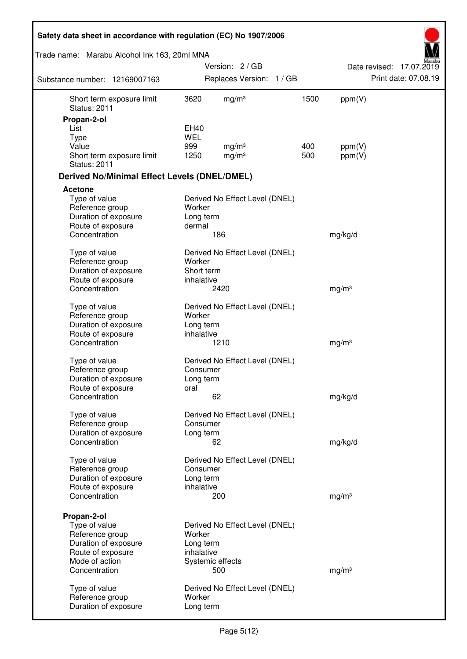| Safety data sheet in accordance with regulation (EC) No 1907/2006 |            |                                |      |                   |                          |
|-------------------------------------------------------------------|------------|--------------------------------|------|-------------------|--------------------------|
| Trade name: Marabu Alcohol Ink 163, 20ml MNA                      |            |                                |      |                   |                          |
|                                                                   |            | Version: 2/GB                  |      |                   | Date revised: 17.07.2019 |
| Substance number: 12169007163                                     |            | Replaces Version: 1 / GB       |      |                   | Print date: 07.08.19     |
| Short term exposure limit<br><b>Status: 2011</b>                  | 3620       | mg/m <sup>3</sup>              | 1500 | ppm(V)            |                          |
| Propan-2-ol                                                       |            |                                |      |                   |                          |
| List                                                              | EH40       |                                |      |                   |                          |
| <b>Type</b>                                                       | <b>WEL</b> |                                |      |                   |                          |
| Value                                                             | 999        | mg/m <sup>3</sup>              | 400  | ppm(V)            |                          |
| Short term exposure limit<br><b>Status: 2011</b>                  | 1250       | mg/m <sup>3</sup>              | 500  | ppm(V)            |                          |
| <b>Derived No/Minimal Effect Levels (DNEL/DMEL)</b>               |            |                                |      |                   |                          |
| Acetone                                                           |            |                                |      |                   |                          |
| Type of value                                                     |            | Derived No Effect Level (DNEL) |      |                   |                          |
| Reference group                                                   | Worker     |                                |      |                   |                          |
| Duration of exposure                                              | Long term  |                                |      |                   |                          |
| Route of exposure                                                 | dermal     |                                |      |                   |                          |
| Concentration                                                     |            | 186                            |      | mg/kg/d           |                          |
| Type of value                                                     |            | Derived No Effect Level (DNEL) |      |                   |                          |
| Reference group                                                   | Worker     |                                |      |                   |                          |
| Duration of exposure                                              | Short term |                                |      |                   |                          |
| Route of exposure                                                 | inhalative |                                |      |                   |                          |
| Concentration                                                     |            | 2420                           |      | mg/m <sup>3</sup> |                          |
| Type of value                                                     |            | Derived No Effect Level (DNEL) |      |                   |                          |
| Reference group                                                   | Worker     |                                |      |                   |                          |
| Duration of exposure                                              | Long term  |                                |      |                   |                          |
| Route of exposure                                                 | inhalative |                                |      |                   |                          |
| Concentration                                                     |            | 1210                           |      | mg/m <sup>3</sup> |                          |
| Type of value                                                     |            | Derived No Effect Level (DNEL) |      |                   |                          |
| Reference group                                                   | Consumer   |                                |      |                   |                          |
| Duration of exposure                                              | Long term  |                                |      |                   |                          |
| Route of exposure                                                 | oral       |                                |      |                   |                          |
| Concentration                                                     |            | 62                             |      | mg/kg/d           |                          |
| Type of value                                                     |            | Derived No Effect Level (DNEL) |      |                   |                          |
| Reference group                                                   | Consumer   |                                |      |                   |                          |
| Duration of exposure                                              | Long term  |                                |      |                   |                          |
| Concentration                                                     |            | 62                             |      | mg/kg/d           |                          |
| Type of value                                                     |            | Derived No Effect Level (DNEL) |      |                   |                          |
| Reference group                                                   | Consumer   |                                |      |                   |                          |
| Duration of exposure                                              | Long term  |                                |      |                   |                          |
| Route of exposure                                                 | inhalative |                                |      |                   |                          |
| Concentration                                                     |            | 200                            |      | mg/m <sup>3</sup> |                          |
| Propan-2-ol                                                       |            |                                |      |                   |                          |
| Type of value                                                     |            | Derived No Effect Level (DNEL) |      |                   |                          |
| Reference group                                                   | Worker     |                                |      |                   |                          |
| Duration of exposure                                              | Long term  |                                |      |                   |                          |
| Route of exposure                                                 | inhalative |                                |      |                   |                          |
| Mode of action                                                    |            | Systemic effects               |      |                   |                          |
| Concentration                                                     |            | 500                            |      | mg/m <sup>3</sup> |                          |
| Type of value                                                     |            | Derived No Effect Level (DNEL) |      |                   |                          |
| Reference group                                                   | Worker     |                                |      |                   |                          |
| Duration of exposure                                              | Long term  |                                |      |                   |                          |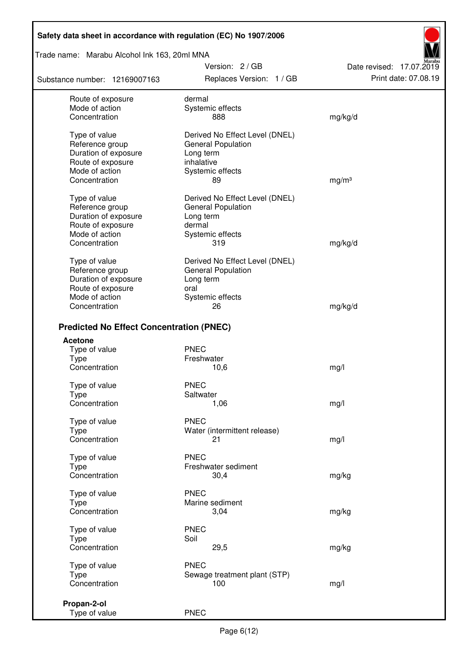Trade name: Marabu Alcohol Ink 163, 20ml MNA

Substance number: 12169007163

Version: 2 / GB Replaces Version: 1 / GB Print date: 07.08.19

Date revised: 17.07.2019

| Route of exposure                               | dermal                         |                   |
|-------------------------------------------------|--------------------------------|-------------------|
| Mode of action                                  | Systemic effects               |                   |
| Concentration                                   | 888                            | mg/kg/d           |
| Type of value                                   | Derived No Effect Level (DNEL) |                   |
| Reference group                                 | <b>General Population</b>      |                   |
| Duration of exposure                            | Long term                      |                   |
| Route of exposure                               | inhalative                     |                   |
| Mode of action                                  | Systemic effects               |                   |
| Concentration                                   | 89                             | mg/m <sup>3</sup> |
| Type of value                                   | Derived No Effect Level (DNEL) |                   |
| Reference group                                 | General Population             |                   |
| Duration of exposure                            | Long term                      |                   |
| Route of exposure                               | dermal                         |                   |
| Mode of action                                  | Systemic effects               |                   |
| Concentration                                   | 319                            | mg/kg/d           |
| Type of value                                   | Derived No Effect Level (DNEL) |                   |
| Reference group                                 | <b>General Population</b>      |                   |
| Duration of exposure                            | Long term                      |                   |
| Route of exposure                               | oral                           |                   |
| Mode of action                                  | Systemic effects               |                   |
| Concentration                                   | 26                             | mg/kg/d           |
| <b>Predicted No Effect Concentration (PNEC)</b> |                                |                   |
| <b>Acetone</b>                                  |                                |                   |
| Type of value                                   | <b>PNEC</b>                    |                   |
| <b>Type</b>                                     | Freshwater                     |                   |
| Concentration                                   | 10,6                           | mg/l              |
| Type of value                                   | <b>PNEC</b>                    |                   |
| <b>Type</b>                                     | Saltwater                      |                   |
| Concentration                                   | 1,06                           | mg/l              |
| Type of value                                   | <b>PNEC</b>                    |                   |
| <b>Type</b>                                     | Water (intermittent release)   |                   |
| Concentration                                   | 21                             | mg/l              |
| Type of value                                   | <b>PNEC</b>                    |                   |
| <b>Type</b>                                     | Freshwater sediment            |                   |
| Concentration                                   | 30,4                           | mg/kg             |
|                                                 |                                |                   |
| Type of value                                   | <b>PNEC</b>                    |                   |
| Type<br>Concentration                           | Marine sediment<br>3,04        | mg/kg             |
|                                                 |                                |                   |
| Type of value                                   | <b>PNEC</b>                    |                   |
| <b>Type</b>                                     | Soil                           |                   |
| Concentration                                   | 29,5                           | mg/kg             |
| Type of value                                   | <b>PNEC</b>                    |                   |
| <b>Type</b>                                     | Sewage treatment plant (STP)   |                   |
| Concentration                                   | 100                            | mg/l              |
|                                                 |                                |                   |
| Propan-2-ol<br>Type of value                    | <b>PNEC</b>                    |                   |
|                                                 |                                |                   |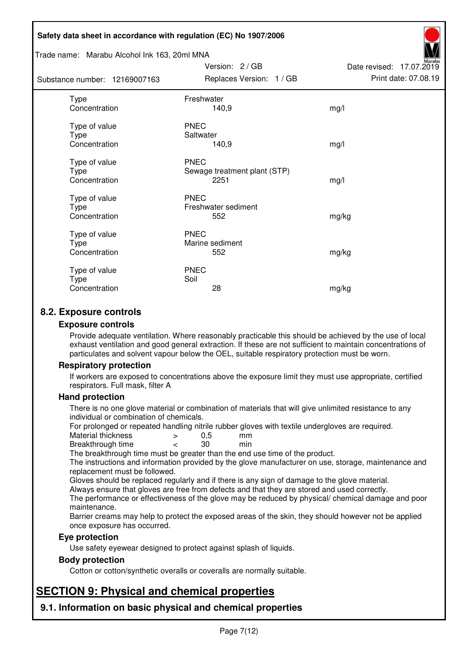#### Trade name: Marabu Alcohol Ink 163, 20ml MNA

| Substance number: 12169007163          | Replaces Version: 1 / GB                            | Print date: 07.08.19 |
|----------------------------------------|-----------------------------------------------------|----------------------|
| Type<br>Concentration                  | Freshwater<br>140,9                                 | mg/l                 |
| Type of value<br>Type<br>Concentration | <b>PNEC</b><br>Saltwater<br>140,9                   | mg/l                 |
| Type of value<br>Type<br>Concentration | <b>PNEC</b><br>Sewage treatment plant (STP)<br>2251 | mg/l                 |
| Type of value<br>Type<br>Concentration | <b>PNEC</b><br>Freshwater sediment<br>552           | mg/kg                |
| Type of value<br>Type<br>Concentration | <b>PNEC</b><br>Marine sediment<br>552               | mg/kg                |
| Type of value<br>Type<br>Concentration | <b>PNEC</b><br>Soil<br>28                           | mg/kg                |

Version: 2 / GB

Date revised: 17.07.2019

## **8.2. Exposure controls**

#### **Exposure controls**

Provide adequate ventilation. Where reasonably practicable this should be achieved by the use of local exhaust ventilation and good general extraction. If these are not sufficient to maintain concentrations of particulates and solvent vapour below the OEL, suitable respiratory protection must be worn.

#### **Respiratory protection**

If workers are exposed to concentrations above the exposure limit they must use appropriate, certified respirators. Full mask, filter A

#### **Hand protection**

There is no one glove material or combination of materials that will give unlimited resistance to any individual or combination of chemicals.

For prolonged or repeated handling nitrile rubber gloves with textile undergloves are required.<br>Material thickness  $\geq 0.5$  mm

- Material thickness  $\begin{array}{ccc} 0.5 \\ -8.5 \end{array}$  Material thickness  $\begin{array}{ccc} 0.5 \\ -8.5 \end{array}$
- Breakthrough time < 30 min

The breakthrough time must be greater than the end use time of the product.

The instructions and information provided by the glove manufacturer on use, storage, maintenance and replacement must be followed.

Gloves should be replaced regularly and if there is any sign of damage to the glove material.

Always ensure that gloves are free from defects and that they are stored and used correctly.

The performance or effectiveness of the glove may be reduced by physical/ chemical damage and poor maintenance.

Barrier creams may help to protect the exposed areas of the skin, they should however not be applied once exposure has occurred.

#### **Eye protection**

Use safety eyewear designed to protect against splash of liquids.

#### **Body protection**

Cotton or cotton/synthetic overalls or coveralls are normally suitable.

## **SECTION 9: Physical and chemical properties**

**9.1. Information on basic physical and chemical properties**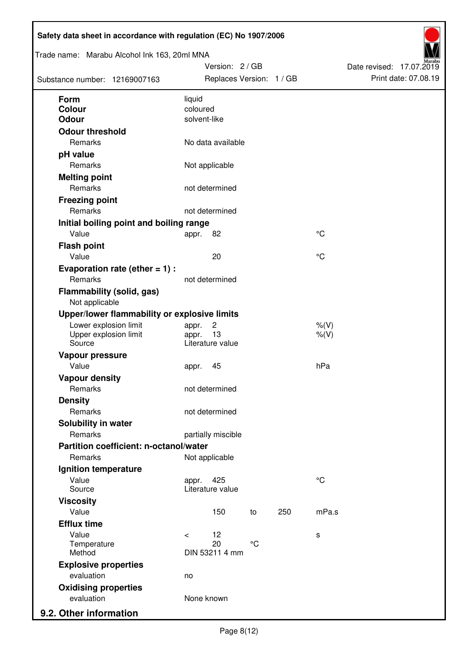| Trade name: Marabu Alcohol Ink 163, 20ml MNA<br>Substance number: 12169007163 |                          | Version: 2 / GB<br>Replaces Version: 1 / GB |                 |     |                    | Date revised: 17.07.2019 | Print date: 07.08.19 |
|-------------------------------------------------------------------------------|--------------------------|---------------------------------------------|-----------------|-----|--------------------|--------------------------|----------------------|
| <b>Form</b>                                                                   | liquid                   |                                             |                 |     |                    |                          |                      |
| Colour                                                                        | coloured<br>solvent-like |                                             |                 |     |                    |                          |                      |
| <b>Odour</b>                                                                  |                          |                                             |                 |     |                    |                          |                      |
| <b>Odour threshold</b><br>Remarks                                             |                          | No data available                           |                 |     |                    |                          |                      |
| pH value                                                                      |                          |                                             |                 |     |                    |                          |                      |
| Remarks                                                                       |                          | Not applicable                              |                 |     |                    |                          |                      |
| <b>Melting point</b>                                                          |                          |                                             |                 |     |                    |                          |                      |
| Remarks                                                                       |                          | not determined                              |                 |     |                    |                          |                      |
| <b>Freezing point</b>                                                         |                          |                                             |                 |     |                    |                          |                      |
| Remarks                                                                       |                          | not determined                              |                 |     |                    |                          |                      |
| Initial boiling point and boiling range                                       |                          |                                             |                 |     |                    |                          |                      |
| Value                                                                         | appr.                    | 82                                          |                 |     | $\rm ^{\circ}C$    |                          |                      |
| <b>Flash point</b>                                                            |                          |                                             |                 |     |                    |                          |                      |
| Value                                                                         |                          | 20                                          |                 |     | °C                 |                          |                      |
| Evaporation rate (ether $= 1$ ) :                                             |                          |                                             |                 |     |                    |                          |                      |
| Remarks                                                                       |                          | not determined                              |                 |     |                    |                          |                      |
| <b>Flammability (solid, gas)</b><br>Not applicable                            |                          |                                             |                 |     |                    |                          |                      |
| Upper/lower flammability or explosive limits                                  |                          |                                             |                 |     |                    |                          |                      |
| Lower explosion limit<br>Upper explosion limit<br>Source                      | appr.<br>appr.           | $\overline{c}$<br>13<br>Literature value    |                 |     | $%$ (V)<br>$%$ (V) |                          |                      |
| Vapour pressure                                                               |                          |                                             |                 |     |                    |                          |                      |
| Value                                                                         | appr.                    | 45                                          |                 |     | hPa                |                          |                      |
| <b>Vapour density</b>                                                         |                          |                                             |                 |     |                    |                          |                      |
| Remarks                                                                       |                          | not determined                              |                 |     |                    |                          |                      |
| <b>Density</b>                                                                |                          |                                             |                 |     |                    |                          |                      |
| Remarks                                                                       |                          | not determined                              |                 |     |                    |                          |                      |
| Solubility in water                                                           |                          |                                             |                 |     |                    |                          |                      |
| Remarks                                                                       |                          | partially miscible                          |                 |     |                    |                          |                      |
| Partition coefficient: n-octanol/water                                        |                          |                                             |                 |     |                    |                          |                      |
| Remarks                                                                       |                          | Not applicable                              |                 |     |                    |                          |                      |
| Ignition temperature                                                          |                          |                                             |                 |     |                    |                          |                      |
| Value<br>Source                                                               | appr.                    | 425<br>Literature value                     |                 |     | $^{\circ}C$        |                          |                      |
| <b>Viscosity</b>                                                              |                          |                                             |                 |     |                    |                          |                      |
| Value                                                                         |                          | 150                                         | to              | 250 | mPa.s              |                          |                      |
| <b>Efflux time</b>                                                            |                          |                                             |                 |     |                    |                          |                      |
| Value                                                                         | $\prec$                  | 12                                          |                 |     | s                  |                          |                      |
| Temperature<br>Method                                                         |                          | 20<br>DIN 53211 4 mm                        | $\rm ^{\circ}C$ |     |                    |                          |                      |
| <b>Explosive properties</b>                                                   |                          |                                             |                 |     |                    |                          |                      |
| evaluation                                                                    | no                       |                                             |                 |     |                    |                          |                      |
| <b>Oxidising properties</b>                                                   |                          |                                             |                 |     |                    |                          |                      |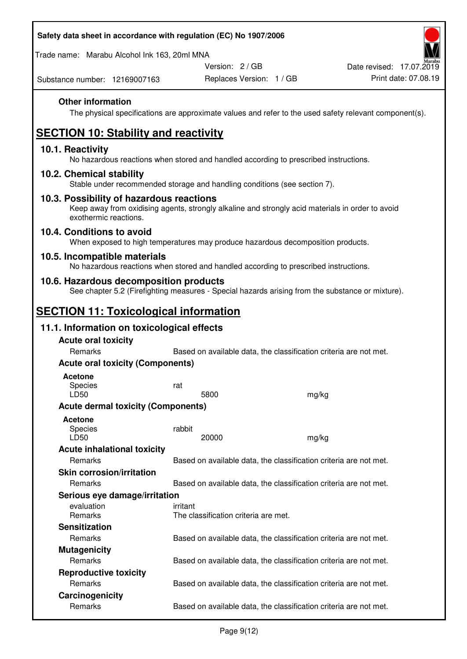Trade name: Marabu Alcohol Ink 163, 20ml MNA

Version: 2 / GB

Substance number: 12169007163

## **Other information**

The physical specifications are approximate values and refer to the used safety relevant component(s).

# **SECTION 10: Stability and reactivity**

#### **10.1. Reactivity**

No hazardous reactions when stored and handled according to prescribed instructions.

#### **10.2. Chemical stability**

Stable under recommended storage and handling conditions (see section 7).

#### **10.3. Possibility of hazardous reactions**

Keep away from oxidising agents, strongly alkaline and strongly acid materials in order to avoid exothermic reactions.

#### **10.4. Conditions to avoid**

When exposed to high temperatures may produce hazardous decomposition products.

#### **10.5. Incompatible materials**

No hazardous reactions when stored and handled according to prescribed instructions.

### **10.6. Hazardous decomposition products**

See chapter 5.2 (Firefighting measures - Special hazards arising from the substance or mixture).

## **SECTION 11: Toxicological information**

### **11.1. Information on toxicological effects**

| <b>Acute oral toxicity</b>                |                                                                   |       |
|-------------------------------------------|-------------------------------------------------------------------|-------|
| Remarks                                   | Based on available data, the classification criteria are not met. |       |
| <b>Acute oral toxicity (Components)</b>   |                                                                   |       |
| <b>Acetone</b><br><b>Species</b><br>LD50  | rat<br>5800                                                       | mg/kg |
| <b>Acute dermal toxicity (Components)</b> |                                                                   |       |
| <b>Acetone</b><br>Species<br>LD50         | rabbit<br>20000                                                   | mg/kg |
| <b>Acute inhalational toxicity</b>        |                                                                   |       |
| Remarks                                   | Based on available data, the classification criteria are not met. |       |
| <b>Skin corrosion/irritation</b>          |                                                                   |       |
| Remarks                                   | Based on available data, the classification criteria are not met. |       |
| Serious eye damage/irritation             |                                                                   |       |
| evaluation<br><b>Remarks</b>              | irritant<br>The classification criteria are met.                  |       |
| <b>Sensitization</b>                      |                                                                   |       |
| Remarks                                   | Based on available data, the classification criteria are not met. |       |
| <b>Mutagenicity</b>                       |                                                                   |       |
| Remarks                                   | Based on available data, the classification criteria are not met. |       |
| <b>Reproductive toxicity</b>              |                                                                   |       |
| Remarks                                   | Based on available data, the classification criteria are not met. |       |
| Carcinogenicity                           |                                                                   |       |
| Remarks                                   | Based on available data, the classification criteria are not met. |       |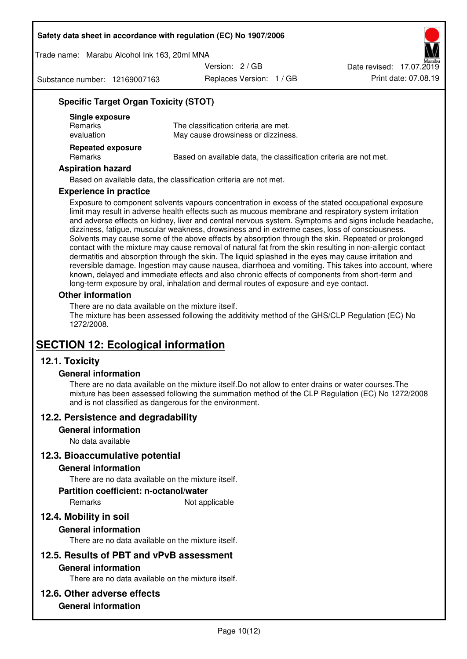Trade name: Marabu Alcohol Ink 163, 20ml MNA

Version: 2 / GB

Substance number: 12169007163

Replaces Version: 1 / GB Print date: 07.08.19 Date revised: 17.07.2019

### **Specific Target Organ Toxicity (STOT)**

| Single exposure<br><b>Remarks</b><br>evaluation | The classification criteria are met.<br>May cause drowsiness or dizziness. |
|-------------------------------------------------|----------------------------------------------------------------------------|
| <b>Repeated exposure</b><br><b>Remarks</b>      | Based on available data, the classification criteria are not met.          |

#### **Aspiration hazard**

Based on available data, the classification criteria are not met.

#### **Experience in practice**

Exposure to component solvents vapours concentration in excess of the stated occupational exposure limit may result in adverse health effects such as mucous membrane and respiratory system irritation and adverse effects on kidney, liver and central nervous system. Symptoms and signs include headache, dizziness, fatigue, muscular weakness, drowsiness and in extreme cases, loss of consciousness. Solvents may cause some of the above effects by absorption through the skin. Repeated or prolonged contact with the mixture may cause removal of natural fat from the skin resulting in non-allergic contact dermatitis and absorption through the skin. The liquid splashed in the eyes may cause irritation and reversible damage. Ingestion may cause nausea, diarrhoea and vomiting. This takes into account, where known, delayed and immediate effects and also chronic effects of components from short-term and long-term exposure by oral, inhalation and dermal routes of exposure and eye contact.

#### **Other information**

There are no data available on the mixture itself. The mixture has been assessed following the additivity method of the GHS/CLP Regulation (EC) No 1272/2008.

## **SECTION 12: Ecological information**

## **12.1. Toxicity**

#### **General information**

There are no data available on the mixture itself.Do not allow to enter drains or water courses.The mixture has been assessed following the summation method of the CLP Regulation (EC) No 1272/2008 and is not classified as dangerous for the environment.

#### **12.2. Persistence and degradability**

#### **General information**

No data available

#### **12.3. Bioaccumulative potential**

#### **General information**

There are no data available on the mixture itself.

#### **Partition coefficient: n-octanol/water**

Remarks Not applicable

## **12.4. Mobility in soil**

#### **General information**

There are no data available on the mixture itself.

#### **12.5. Results of PBT and vPvB assessment**

#### **General information**

There are no data available on the mixture itself.

#### **12.6. Other adverse effects**

#### **General information**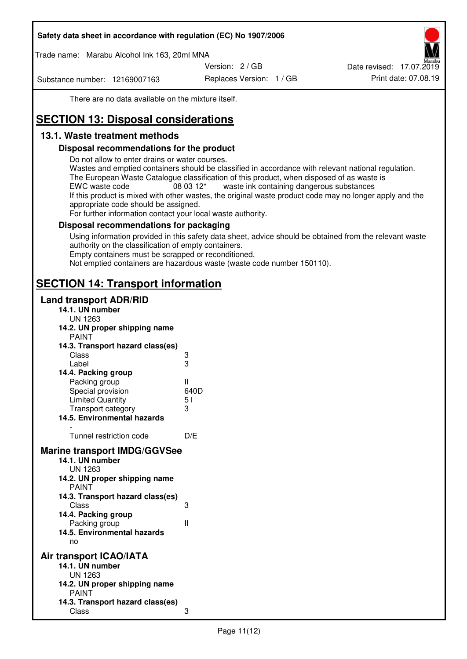Trade name: Marabu Alcohol Ink 163, 20ml MNA

Version: 2 / GB

Substance number: 12169007163

Replaces Version: 1 / GB Print date: 07.08.19 Date revised: 17.07.2019

There are no data available on the mixture itself.

# **SECTION 13: Disposal considerations**

## **13.1. Waste treatment methods**

#### **Disposal recommendations for the product**

Do not allow to enter drains or water courses.

Wastes and emptied containers should be classified in accordance with relevant national regulation. The European Waste Catalogue classification of this product, when disposed of as waste is EWC waste code  $08\,03\,12^*$  waste ink containing dangerous substances If this product is mixed with other wastes, the original waste product code may no longer apply and the appropriate code should be assigned.

For further information contact your local waste authority.

### **Disposal recommendations for packaging**

Using information provided in this safety data sheet, advice should be obtained from the relevant waste authority on the classification of empty containers. Empty containers must be scrapped or reconditioned.

Not emptied containers are hazardous waste (waste code number 150110).

## **SECTION 14: Transport information**

#### **Land transport ADR/RID**

| 14.1. UN number<br><b>UN 1263</b>                                                                                                                                                                                                            |                   |
|----------------------------------------------------------------------------------------------------------------------------------------------------------------------------------------------------------------------------------------------|-------------------|
| 14.2. UN proper shipping name                                                                                                                                                                                                                |                   |
| <b>PAINT</b>                                                                                                                                                                                                                                 |                   |
| 14.3. Transport hazard class(es)                                                                                                                                                                                                             |                   |
| Class                                                                                                                                                                                                                                        |                   |
| Label                                                                                                                                                                                                                                        | ვ<br>ვ            |
| 14.4. Packing group                                                                                                                                                                                                                          |                   |
| Packing group                                                                                                                                                                                                                                | Ш                 |
| Special provision                                                                                                                                                                                                                            | 640D              |
| <b>Limited Quantity</b>                                                                                                                                                                                                                      | 5 <sub>1</sub>    |
| Transport category                                                                                                                                                                                                                           | 3                 |
| 14.5. Environmental hazards                                                                                                                                                                                                                  |                   |
| Tunnel restriction code                                                                                                                                                                                                                      | D/E               |
|                                                                                                                                                                                                                                              |                   |
| <b>Marine transport IMDG/GGVSee</b><br>14.1. UN number<br>UN 1263<br>14.2. UN proper shipping name<br><b>PAINT</b><br>14.3. Transport hazard class(es)<br>Class<br>14.4. Packing group<br>Packing group<br>14.5. Environmental hazards<br>no | 3<br>$\mathbf{I}$ |
| Air transport ICAO/IATA                                                                                                                                                                                                                      |                   |
| 14.1. UN number                                                                                                                                                                                                                              |                   |
| UN 1263                                                                                                                                                                                                                                      |                   |
| 14.2. UN proper shipping name<br><b>PAINT</b>                                                                                                                                                                                                |                   |
| 14.3. Transport hazard class(es)                                                                                                                                                                                                             |                   |
| Class                                                                                                                                                                                                                                        | 3                 |
|                                                                                                                                                                                                                                              |                   |